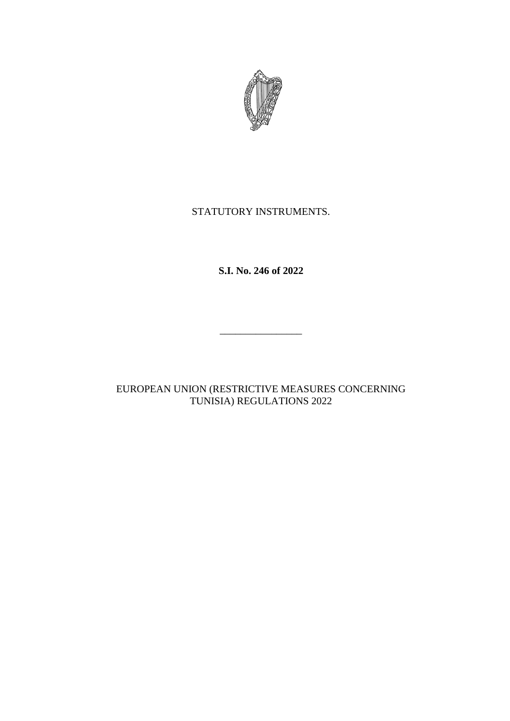

## STATUTORY INSTRUMENTS.

**S.I. No. 246 of 2022**

\_\_\_\_\_\_\_\_\_\_\_\_\_\_\_\_

EUROPEAN UNION (RESTRICTIVE MEASURES CONCERNING TUNISIA) REGULATIONS 2022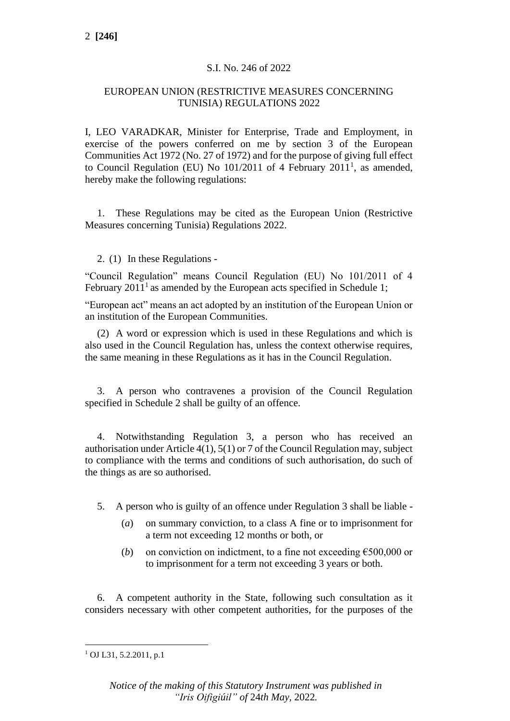### S.I. No. 246 of 2022

### EUROPEAN UNION (RESTRICTIVE MEASURES CONCERNING TUNISIA) REGULATIONS 2022

I, LEO VARADKAR, Minister for Enterprise, Trade and Employment, in exercise of the powers conferred on me by section 3 of the European Communities Act 1972 (No. 27 of 1972) and for the purpose of giving full effect to Council Regulation (EU) No  $101/2011$  of 4 February  $2011<sup>1</sup>$ , as amended, hereby make the following regulations:

1. These Regulations may be cited as the European Union (Restrictive Measures concerning Tunisia) Regulations 2022.

### 2. (1) In these Regulations -

"Council Regulation" means Council Regulation (EU) No 101/2011 of 4 February  $2011<sup>1</sup>$  as amended by the European acts specified in Schedule 1;

"European act" means an act adopted by an institution of the European Union or an institution of the European Communities.

(2) A word or expression which is used in these Regulations and which is also used in the Council Regulation has, unless the context otherwise requires, the same meaning in these Regulations as it has in the Council Regulation.

3. A person who contravenes a provision of the Council Regulation specified in Schedule 2 shall be guilty of an offence.

4. Notwithstanding Regulation 3, a person who has received an authorisation under Article 4(1), 5(1) or 7 of the Council Regulation may, subject to compliance with the terms and conditions of such authorisation, do such of the things as are so authorised.

5. A person who is guilty of an offence under Regulation 3 shall be liable -

- (*a*) on summary conviction, to a class A fine or to imprisonment for a term not exceeding 12 months or both, or
- (*b*) on conviction on indictment, to a fine not exceeding  $\epsilon$ 500,000 or to imprisonment for a term not exceeding 3 years or both.

6. A competent authority in the State, following such consultation as it considers necessary with other competent authorities, for the purposes of the

 $1$  OJ L31, 5.2.2011, p.1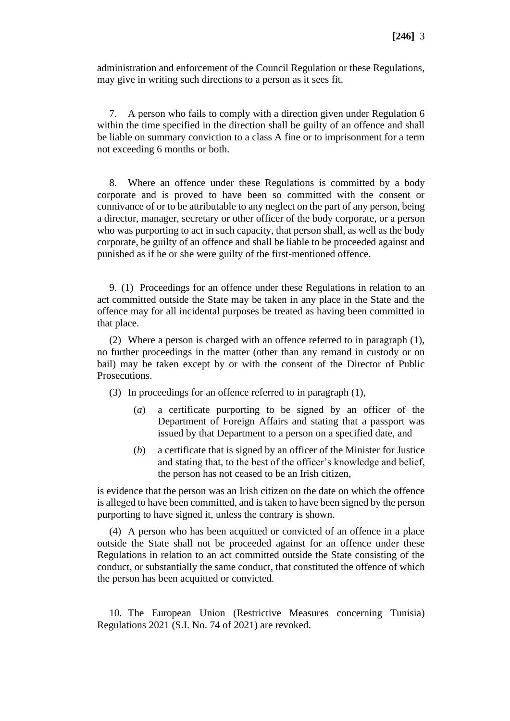administration and enforcement of the Council Regulation or these Regulations, may give in writing such directions to a person as it sees fit.

7. A person who fails to comply with a direction given under Regulation 6 within the time specified in the direction shall be guilty of an offence and shall be liable on summary conviction to a class A fine or to imprisonment for a term not exceeding 6 months or both.

8. Where an offence under these Regulations is committed by a body corporate and is proved to have been so committed with the consent or connivance of or to be attributable to any neglect on the part of any person, being a director, manager, secretary or other officer of the body corporate, or a person who was purporting to act in such capacity, that person shall, as well as the body corporate, be guilty of an offence and shall be liable to be proceeded against and punished as if he or she were guilty of the first-mentioned offence.

9. (1) Proceedings for an offence under these Regulations in relation to an act committed outside the State may be taken in any place in the State and the offence may for all incidental purposes be treated as having been committed in that place.

(2) Where a person is charged with an offence referred to in paragraph (1), no further proceedings in the matter (other than any remand in custody or on bail) may be taken except by or with the consent of the Director of Public Prosecutions.

(3) In proceedings for an offence referred to in paragraph (1),

- (*a*) a certificate purporting to be signed by an officer of the Department of Foreign Affairs and stating that a passport was issued by that Department to a person on a specified date, and
- (*b*) a certificate that is signed by an officer of the Minister for Justice and stating that, to the best of the officer's knowledge and belief, the person has not ceased to be an Irish citizen,

is evidence that the person was an Irish citizen on the date on which the offence is alleged to have been committed, and is taken to have been signed by the person purporting to have signed it, unless the contrary is shown.

(4) A person who has been acquitted or convicted of an offence in a place outside the State shall not be proceeded against for an offence under these Regulations in relation to an act committed outside the State consisting of the conduct, or substantially the same conduct, that constituted the offence of which the person has been acquitted or convicted.

10. The European Union (Restrictive Measures concerning Tunisia) Regulations 2021 (S.I. No. 74 of 2021) are revoked.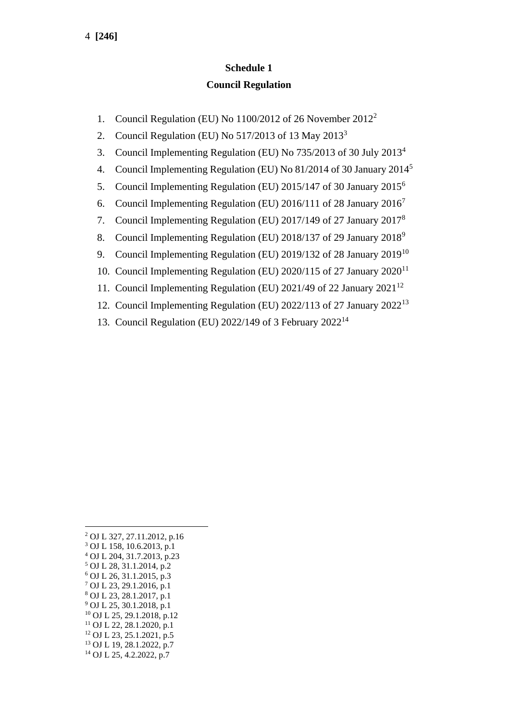# **Schedule 1 Council Regulation**

- 1. Council Regulation (EU) No 1100/2012 of 26 November 2012<sup>2</sup>
- 2. Council Regulation (EU) No  $517/2013$  of 13 May  $2013<sup>3</sup>$
- 3. Council Implementing Regulation (EU) No 735/2013 of 30 July 2013<sup>4</sup>
- 4. Council Implementing Regulation (EU) No 81/2014 of 30 January 2014<sup>5</sup>
- 5. Council Implementing Regulation (EU) 2015/147 of 30 January 2015<sup>6</sup>
- 6. Council Implementing Regulation (EU) 2016/111 of 28 January 2016<sup>7</sup>
- 7. Council Implementing Regulation (EU) 2017/149 of 27 January 2017<sup>8</sup>
- 8. Council Implementing Regulation (EU) 2018/137 of 29 January 2018<sup>9</sup>
- 9. Council Implementing Regulation (EU) 2019/132 of 28 January 2019<sup>10</sup>
- 10. Council Implementing Regulation (EU) 2020/115 of 27 January 2020<sup>11</sup>
- 11. Council Implementing Regulation (EU) 2021/49 of 22 January 2021<sup>12</sup>
- 12. Council Implementing Regulation (EU) 2022/113 of 27 January 2022<sup>13</sup>
- 13. Council Regulation (EU) 2022/149 of 3 February 2022<sup>14</sup>

 OJ L 327, 27.11.2012, p.16 OJ L 158, 10.6.2013, p.1 OJ L 204, 31.7.2013, p.23 OJ L 28, 31.1.2014, p.2 OJ L 26, 31.1.2015, p.3 OJ L 23, 29.1.2016, p.1 OJ L 23, 28.1.2017, p.1 OJ L 25, 30.1.2018, p.1 OJ L 25, 29.1.2018, p.12 OJ L 22, 28.1.2020, p.1 OJ L 23, 25.1.2021, p.5 OJ L 19, 28.1.2022, p.7 OJ L 25, 4.2.2022, p.7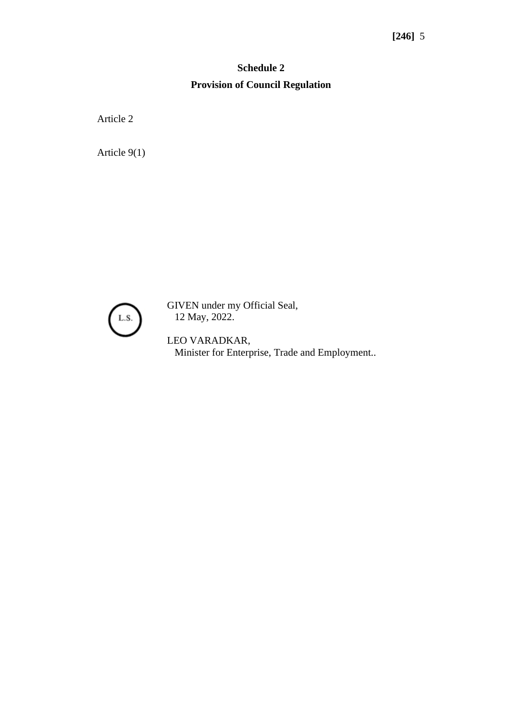# **Schedule 2 Provision of Council Regulation**

Article 2

Article 9(1)



GIVEN under my Official Seal, 12 May, 2022.

LEO VARADKAR, Minister for Enterprise, Trade and Employment..